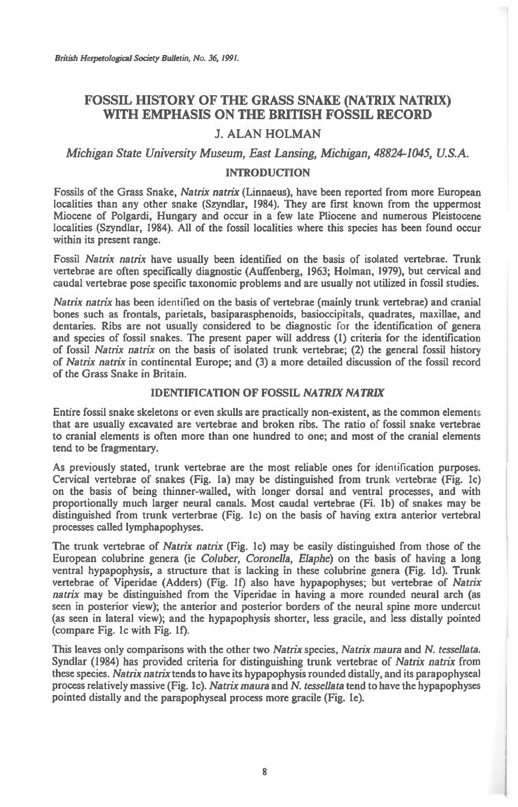# **FOSSIL HISTORY OF THE GRASS SNAKE (NATRIX NATRIX) WITH EMPHASIS ON THE BRITISH FOSSIL RECORD**

# **J. ALAN HOLMAN**

*Michigan State University Museum, East Lansing, Michigan, 48824-1045, U.S.A.* 

# **INTRODUCTION**

Fossils of the Grass Snake, *Natrix natrix* (Linnaeus), have been reported from more European localities than any other snake (Szyndlar, 1984). They are first known from the uppermost Miocene of Polgardi, Hungary and occur in a few late Pliocene and numerous Pleistocene localities (Szyndlar, 1984). All of the fossil localities where this species has been found occur within its present range.

Fossil *Natrix natrix* have usually been identified on the basis of isolated vertebrae. Trunk vertebrae are often specifically diagnostic (Auffenberg, 1963; Holman, 1979), but cervical and caudal vertebrae pose specific taxonomic problems and are usually not utilized in fossil studies.

*Natrix natrix* has been identified on the basis of vertebrae (mainly trunk vertebrae) and cranial bones such as frontals, parietals, basiparasphenoids, basioccipitals, quadrates, maxillae, and dentaries. Ribs are not usually considered to be diagnostic for the identification of genera and species of fossil snakes. The present paper will address (1) criteria for the identification of fossil *Natrix natrix* on the basis of isolated trunk vertebrae; (2) the general fossil history of *Natrix natrix* in continental Europe; and (3) a more detailed discussion of the fossil record of the Grass Snake in Britain.

## **IDENTIFICATION OF FOSSIL** *NATRIX NATRIX*

Entire fossil snake skeletons or even skulls are practically non-existent, as the common elements that are usually excavated are vertebrae and broken ribs. The ratio of fossil snake vertebrae to cranial elements is often more than one hundred to one; and most of the cranial elements tend to be fragmentary.

As previously stated, trunk vertebrae are the most reliable ones for identification purposes. Cervical vertebrae of snakes (Fig. la) may be distinguished from trunk vertebrae (Fig. lc) on the basis of being thinner-walled, with longer dorsal and ventral processes, and with proportionally much larger neural canals. Most caudal vertebrae (Fi. lb) of snakes may be distinguished from trunk verterbrae (Fig. 1c) on the basis of having extra anterior vertebral processes called lymphapophyses.

The trunk vertebrae of *Natrix natrix* (Fig. lc) may be easily distinguished from those of the European colubrine genera (ie *Coluber, Coronella, Elaphe)* on the basis of having a long ventral hypapophysis, a structure that is lacking in these colubrine genera (Fig. Id). Trunk vertebrae of Viperidae (Adders) (Fig. If) also have hypapophyses; but vertebrae of *Natrix natrix* may be distinguished from the Viperidae in having a more rounded neural arch (as seen in posterior view); the anterior and posterior borders of the neural spine more undercut (as seen in lateral view); and the hypapophysis shorter, less gracile, and less distally pointed (compare Fig. lc with Fig. If).

This leaves only comparisons with the other two *Natrix* species, *Natrix maura* and *N. tessellata.*  Syndlar (1984) has provided criteria for distinguishing trunk vertebrae of *Natrix natrix* from these species. *Natrix natrix* tends to have its hypapophysis rounded distally, and its parapophyseal process relatively massive (Fig. lc). *Natrix maura* and *N. tessellata* tend to have the hypapophyses pointed distally and the parapophyseal process more gracile (Fig. le).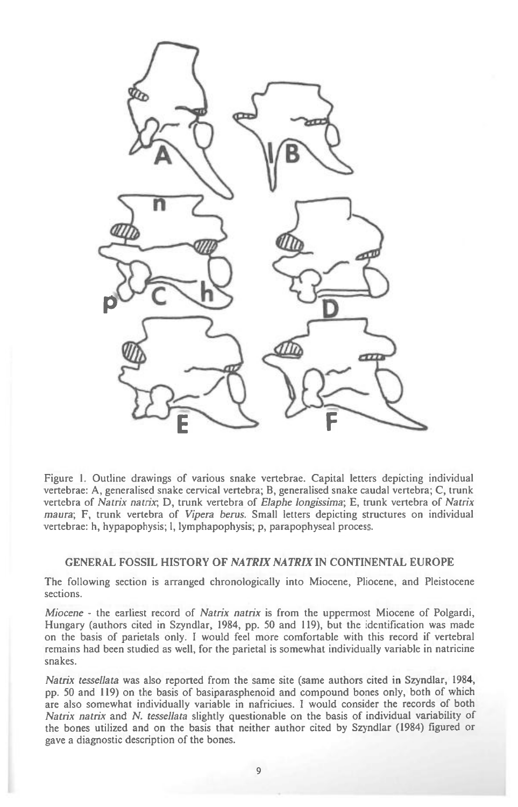

Figure 1. Outline drawings of various snake vertebrae. Capital letters depicting individual vertebrae: A, generalised snake cervical vertebra; **B,** generalised snake caudal vertebra; C, trunk vertebra of *Natrix natrix•,* D, trunk vertebra of *Elaphe longissima;* E, trunk vertebra of *Natrix maura;* F, trunk vertebra of *Vipera berus.* Small letters depicting structures on individual vertebrae: h, hypapophysis; 1, lymphapophysis; p, parapophyseal process.

# **GENERAL FOSSIL HISTORY OF** *NATRLY NATRIX* **IN CONTINENTAL EUROPE**

The following section is arranged chronologically into Miocene, Pliocene, and Pleistocene sections.

*Miocene -* the earliest record of *Natrix natrix* is from the uppermost Miocene of Polgardi, Hungary (authors cited in Szyndlar, 1984, pp. 50 and 119), but the identification was made on the basis of parietals only. I would feel more comfortable with this record if vertebral remains had been studied as well, for the parietal is somewhat individually variable in natricine snakes.

*Natrix tessellata* was also reported from the same site (same authors cited in Szyndlar, 1984, pp. 50 and 119) on the basis of basiparasphenoid and compound bones only, both of which are also somewhat individually variable in nafriciues. I would consider the records of both *Natrix natrix* and *N. tessellata* slightly questionable on the basis of individual variability of the bones utilized and on the basis that neither author cited by Szyndlar (1984) figured or gave a diagnostic description of the bones.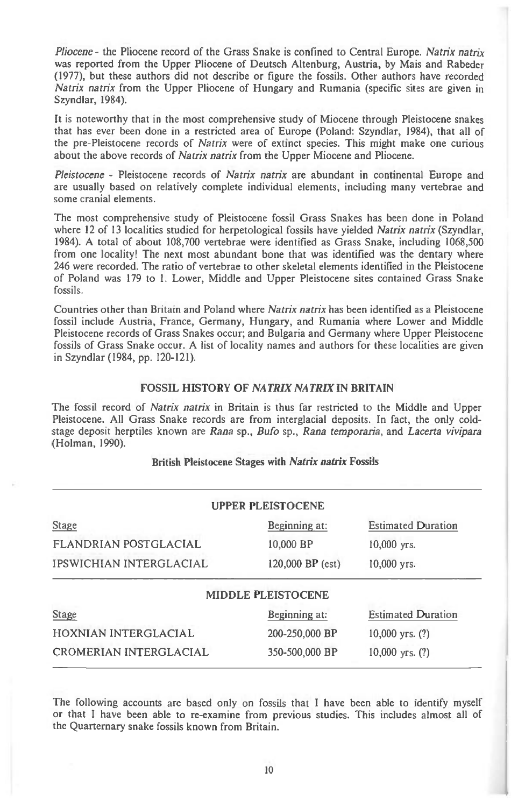*Pliocene -* the Pliocene record of the Grass Snake is confined to Central Europe. *Natrix natrix*  was reported from the Upper Pliocene of Deutsch Altenburg, Austria, by Mais and Rabeder (1977), but these authors did not describe or figure the fossils. Other authors have recorded *Natrix natrix* from the Upper Pliocene of Hungary and Rumania (specific sites are given in Szyndlar, 1984).

It is noteworthy that in the most comprehensive study of Miocene through Pleistocene snakes that has ever been done in a restricted area of Europe (Poland: Szyndlar, 1984), that all of the pre-Pleistocene records of *Natrix* were of extinct species. This might make one curious about the above records of *Natrix natrix* from the Upper Miocene and Pliocene.

*Pleistocene -* Pleistocene records of *Natrix natrix* are abundant in continental Europe and are usually based on relatively complete individual elements, including many vertebrae and some cranial elements.

The most comprehensive study of Pleistocene fossil Grass Snakes has been done in Poland where 12 of 13 localities studied for herpetological fossils have yielded *Natrix natrix* (Szyndlar, 1984). A total of about 108,700 vertebrae were identified as Grass Snake, including 1068,500 from one locality! The next most abundant bone that was identified was the dentary where 246 were recorded. The ratio of vertebrae to other skeletal elements identified in the Pleistocene of Poland was 179 to 1. Lower, Middle and Upper Pleistocene sites contained Grass Snake fossils.

Countries other than Britain and Poland where *Natrix natrix* has been identified as a Pleistocene fossil include Austria, France, Germany, Hungary, and Rumania where Lower and Middle Pleistocene records of Grass Snakes occur; and Bulgaria and Germany where Upper Pleistocene fossils of Grass Snake occur. A list of locality names and authors for these localities are given in Szyndlar (1984, pp. 120-121).

## **FOSSIL HISTORY OF** *NATRIX NATRIX* **IN BRITAIN**

The fossil record of *Natrix natrix* in Britain is thus far restricted to the Middle and Upper Pleistocene. All Grass Snake records are from interglacial deposits. In fact, the only coldstage deposit herptiles known are *Rana* sp., *Bufo* sp., *Rana temporaria,* and *Lacerta vivipara*  (Holman, 1990).

# **British Pleistocene Stages** *with Natrix natrix* **Fossils**

| <b>UPPER PLEISTOCENE</b>  |                           |
|---------------------------|---------------------------|
| Beginning at:             | <b>Estimated Duration</b> |
| 10,000 BP                 | $10,000$ yrs.             |
| 120,000 BP (est)          | 10,000 yrs.               |
| <b>MIDDLE PLEISTOCENE</b> |                           |
| Beginning at:             | <b>Estimated Duration</b> |
| 200-250,000 BP            | $10,000$ yrs. $(?)$       |
| 350-500,000 BP            | $10,000$ yrs. $(?)$       |
|                           |                           |

The following accounts are based only on fossils that I have been able to identify myself or that I have been able to re-examine from previous studies. This includes almost all of the Quarternary snake fossils known from Britain.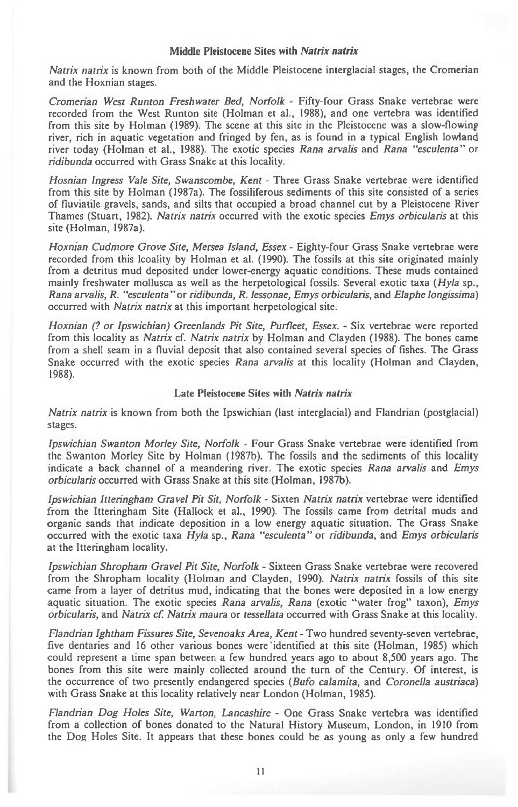## **Middle Pleistocene Sites with** *Natrix natrix*

*Natrix natrix is* known from both of the Middle Pleistocene interglacial stages, the Cromerian and the Hoxnian stages.

*Cromerian West Runton Freshwater Bed, Norfolk -* Fifty-four Grass Snake vertebrae were recorded from the West Runton site (Holman et al., 1988), and one vertebra was identified from this site by Holman (1989). The scene at this site in the Pleistocene was a slow-flowing river, rich in aquatic vegetation and fringed by fen, as is found in a typical English lowland river today (Holman et al., 1988). The exotic species *Rana arvalis* and *Rana "esculenta"* **or**  *ridibunda* occurred with Grass Snake at this locality.

*Hosnian Ingress Vale Site, Swanscombe, Kent -* Three Grass Snake vertebrae were identified from this site by Holman (1987a). The fossiliferous sediments of this site consisted of a series of fluviatile gravels, sands, and silts that occupied a broad channel cut by a Pleistocene River Thames (Stuart, 1982). *Natrix natrix* occurred with the exotic species *Emys orbicularis* at this site (Holman, 1987a).

*Hoxnian Cudmore Grove Site, Mersea Island, Essex -* Eighty-four Grass Snake vertebrae were recorded from this Icoality by Holman et al. (1990). The fossils at this site originated mainly from a detritus mud deposited under lower-energy aquatic conditions. These muds contained mainly freshwater mollusca as well as the herpetological fossils. Several exotic taxa *(Hyla* sp., *Rana arvalis, R. "esculenta"or ridibunda, R. lessonae, Emys orbicularis,* and *Elaphe longissima)*  occurred with *Natrix natrix* at this important herpetological *site.* 

*Hoxnian (? or Ipswichian) Greenlands Pit Site, Purfleet, Essex. -* Six vertebrae were reported from this locality *as Natrix* cf. *Natrix natrix* by Holman and Clayden (1988). The bones came from a shell seam in a fluvial deposit that also contained several species of fishes. The Grass Snake occurred with the exotic species *Rana arvalis* at this locality (Holman and Clayden, 1988).

#### **Late Pleistocene Sites** *with Natrix natrix*

*Natrix natrix is* known from both the Ipswichian (last interglacial) and Flandrian (postglacial) stages.

*Ipswichian Swanton Morley Site, Norfolk -* Four Grass Snake vertebrae were identified from the Swanton Morley Site by Holman (1987b). The fossils and the sediments of this locality indicate a back channel of a meandering river. The exotic species *Rana arvalis* and *Emys orbicularis* occurred with Grass Snake at this site (Holman, 1987b).

*Ipswichian Itteringham Gravel Pit Sit, Norfolk -* Sixten *Natrix natrix* vertebrae were identified from the Itteringham Site (Hallock et al., 1990). The fossils came from detrital muds and organic sands that indicate deposition in a low energy aquatic situation. The Grass Snake occurred with the exotic taxa *Hyla* sp., *Rana "esculenta"* or *ridibunda,* and *Emys orbicularis*  at the Itteringham locality.

*Ipswichian Shropham Gravel Pit Site, Norfolk -* Sixteen Grass Snake vertebrae were recovered from the Shropham locality (Holman and Clayden, 1990). *Natrix natrix* fossils of this site came from a layer of detritus mud, indicating that the bones were deposited in a low energy aquatic situation. The exotic species *Rana arvalis, Rana* (exotic "water frog" taxon), *Emys orbicularis,* and *Natrix cf. Natrix maura* or *tessellata* occurred with Grass Snake at this locality.

*Flandrian Ightham Fissures Site, Sevenoaks Area, Kent -* Two hundred seventy-seven vertebrae, five dentaries and 16 other various bones were identified at this site (Holman, 1985) which could represent a time span between a few hundred years ago to about 8,500 years ago. The bones from this site were mainly collected around the turn of the Century. Of interest, is the occurrence of two presently endangered species *(Bufo calamita,* and *Coronella austriaca)*  with Grass Snake at this locality relatively near London (Holman, 1985).

*Flandrian Dog Holes Site, Warton, Lancashire -* One Grass Snake vertebra was identified from a collection of bones donated to the Natural History Museum, London, in 1910 from the **Dog** Holes Site. It appears that these bones could be as young as only a few hundred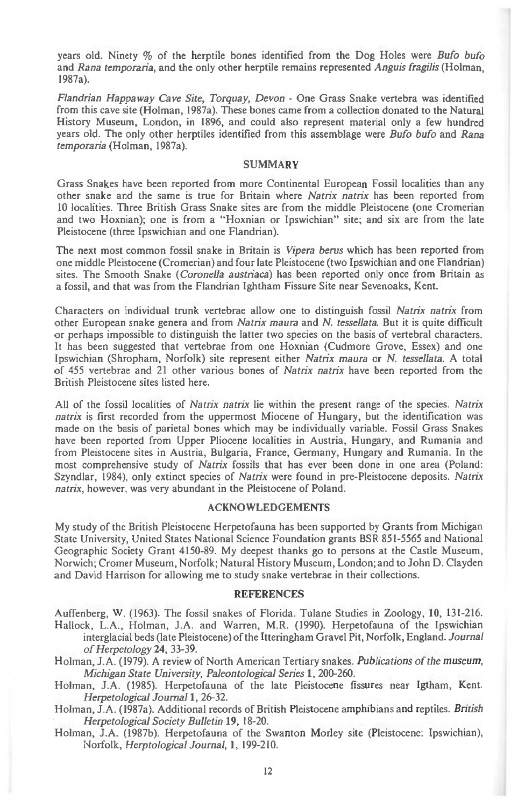years old. Ninety % of the herptile bones identified from the Dog Holes were *Bufo bufo*  and *Rana temporaria,* and the only other herptile remains represented *Anguis fragilis* (Holman, 1987a).

*Flandrian Happaway Cave Site, Torquay, Devon -* One Grass Snake vertebra was identified from this cave site (Holman, 1987a). These bones came from a collection donated to the Natural History Museum, London, in 1896, and could also represent material only a few hundred years old. The only other herptiles identified from this assemblage were *Bufo bufo* and *Rana temporaria* (Holman, 1987a).

#### SUMMARY

Grass Snakes have been reported from more Continental European Fossil localities than any other snake and the same is true for Britain where *Natrix natrix* has been reported from 10 localities. Three British Grass Snake sites are from the middle Pleistocene (one Cromerian and two Hoxnian); one is from a "Hoxnian or Ipswichian" site; and six are from the late Pleistocene (three Ipswichian and one Flandrian).

The next most common fossil snake in Britain is *Vipera berus* which has been reported from one middle Pleistocene (Cromerian) and four late Pleistocene (two Ipswichian and one Flandrian) sites. The Smooth Snake *(Coronella austriaca)* has been reported only once from Britain as a fossil, and that was from the Flandrian Ightham Fissure Site near Sevenoaks, Kent.

Characters on individual trunk vertebrae allow one to distinguish fossil *Natrix natrix* from other European snake genera and from *Natrix maura* and *N. tessellata.* But it is quite difficult or perhaps impossible to distinguish the latter two species on the basis of vertebral characters. It has been suggested that vertebrae from one Hoxnian (Cudmore Grove, Essex) and one Ipswichian (Shropham, Norfolk) site represent either *Natrix maura* or *N. tessellata.* A total of 455 vertebrae and 21 other various bones of *Natrix natrix* have been reported from the British Pleistocene sites listed here.

All of the fossil localities of *Natrix natrix* lie within the present range of the species. *Natrix natrix* is first recorded from the uppermost Miocene of Hungary, but the identification was made on the basis of parietal bones which may be individually variable. Fossil Grass Snakes have been reported from Upper Pliocene localities in Austria, Hungary, and Rumania and from Pleistocene sites in Austria, Bulgaria, France, Germany, Hungary and Rumania. In the most comprehensive study of *Natrix* fossils that has ever been done in one area (Poland: Szyndlar, 1984), only extinct species of *Natrix* were found in pre-Pleistocene deposits. *Natrix natrix,* however, was very abundant in the Pleistocene of Poland.

# ACKNOWLEDGEMENTS

My study of the British Pleistocene Herpetofauna has been supported by Grants from Michigan State University, United States National Science Foundation grants BSR 851-5565 and National Geographic Society Grant 4150-89. My deepest thanks go to persons at the Castle Museum, Norwich; Cromer Museum, Norfolk; Natural History Museum, London; and to John D. Clayden and David Harrison for allowing me to study snake vertebrae in their collections.

#### REFERENCES

Auffenberg, W. (1963). The fossil snakes of Florida. Tulane Studies in Zoology, **10,** 131-216. Hallock, L.A., Holman, J.A. and Warren, M.R. (1990). Herpetofauna of the Ipswichian

interglacial beds (late Pleistocene) of the Itteringham Gravel Pit, Norfolk, England. *Journal of Herpetology* **24,** 33-39.

Holman, J.A. (1979). A review of North American Tertiary snakes. *Publications of the museum, Michigan State University, Paleontological Series* **1,** 200-260.

Holman, J.A. (1985). Herpetofauna of the late Pleistocene fissures near Igtham, Kent. *Herpetological Journal* **1,** 26-32.

Holman, J.A. (1987a). Additional records of British Pleistocene amphibians and reptiles. *British Herpetological Society Bulletin* **19,** 18-20.

Holman, J.A. (1987b). Herpetofauna of the Swanton Morley site (Pleistocene: Ipswichian), Norfolk, *Herptological Journal,* **1,** 199-210.